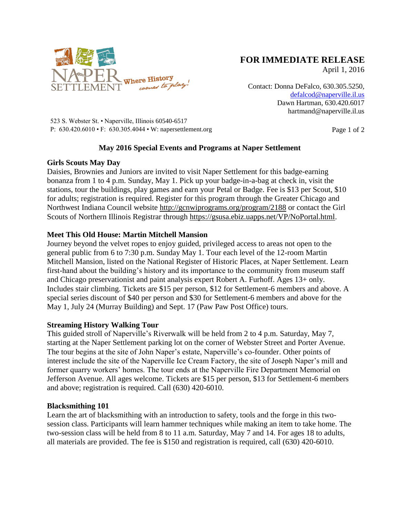

# **FOR IMMEDIATE RELEASE**

April 1, 2016

Contact: Donna DeFalco, 630.305.5250, [defalcod@naperville.il.us](mailto:defalcod@naperville.il.us) Dawn Hartman, 630.420.6017 hartmand@naperville.il.us

523 S. Webster St. • Naperville, Illinois 60540-6517 P:  $630.420.6010 \cdot F$ :  $630.305.4044 \cdot W$ : napersettlement.org Page 1 of 2

## **May 2016 Special Events and Programs at Naper Settlement**

### **Girls Scouts May Day**

Daisies, Brownies and Juniors are invited to visit Naper Settlement for this badge-earning bonanza from 1 to 4 p.m. Sunday, May 1. Pick up your badge-in-a-bag at check in, visit the stations, tour the buildings, play games and earn your Petal or Badge. Fee is \$13 per Scout, \$10 for adults; registration is required. Register for this program through the Greater Chicago and Northwest Indiana Council website<http://gcnwiprograms.org/program/2188> or contact the Girl Scouts of Northern Illinois Registrar through [https://gsusa.ebiz.uapps.net/VP/NoPortal.html.](https://gsusa.ebiz.uapps.net/VP/NoPortal.html)

## **Meet This Old House: Martin Mitchell Mansion**

Journey beyond the velvet ropes to enjoy guided, privileged access to areas not open to the general public from 6 to 7:30 p.m. Sunday May 1. Tour each level of the 12-room Martin Mitchell Mansion, listed on the National Register of Historic Places, at Naper Settlement. Learn first-hand about the building's history and its importance to the community from museum staff and Chicago preservationist and paint analysis expert Robert A. Furhoff. Ages 13+ only. Includes stair climbing. Tickets are \$15 per person, \$12 for Settlement-6 members and above. A special series discount of \$40 per person and \$30 for Settlement-6 members and above for the May 1, July 24 (Murray Building) and Sept. 17 (Paw Paw Post Office) tours.

#### **Streaming History Walking Tour**

This guided stroll of Naperville's Riverwalk will be held from 2 to 4 p.m. Saturday, May 7, starting at the Naper Settlement parking lot on the corner of Webster Street and Porter Avenue. The tour begins at the site of John Naper's estate, Naperville's co-founder. Other points of interest include the site of the Naperville Ice Cream Factory, the site of Joseph Naper's mill and former quarry workers' homes. The tour ends at the Naperville Fire Department Memorial on Jefferson Avenue. All ages welcome. Tickets are \$15 per person, \$13 for Settlement-6 members and above; registration is required. Call (630) 420-6010.

#### **Blacksmithing 101**

Learn the art of blacksmithing with an introduction to safety, tools and the forge in this twosession class. Participants will learn hammer techniques while making an item to take home. The two-session class will be held from 8 to 11 a.m. Saturday, May 7 and 14. For ages 18 to adults, all materials are provided. The fee is \$150 and registration is required, call (630) 420-6010.